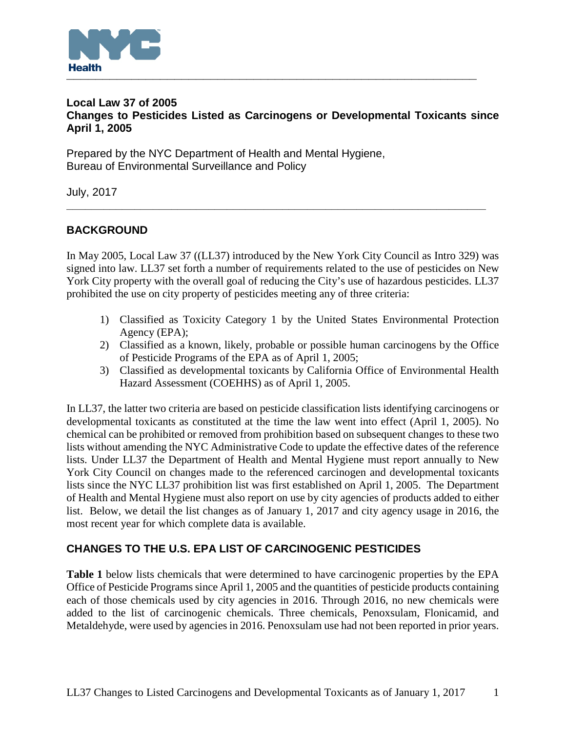

## **Local Law 37 of 2005 Changes to Pesticides Listed as Carcinogens or Developmental Toxicants since April 1, 2005**

Prepared by the NYC Department of Health and Mental Hygiene, Bureau of Environmental Surveillance and Policy

July, 2017

# **BACKGROUND**

In May 2005, Local Law 37 ((LL37) introduced by the New York City Council as Intro 329) was signed into law. LL37 set forth a number of requirements related to the use of pesticides on New York City property with the overall goal of reducing the City's use of hazardous pesticides. LL37 prohibited the use on city property of pesticides meeting any of three criteria:

**\_\_\_\_\_\_\_\_\_\_\_\_\_\_\_\_\_\_\_\_\_\_\_\_\_\_\_\_\_\_\_\_\_\_\_\_\_\_\_\_\_\_\_\_\_\_\_\_\_\_\_\_\_\_\_\_\_\_\_\_\_\_\_\_\_\_\_\_**

- 1) Classified as Toxicity Category 1 by the United States Environmental Protection Agency (EPA);
- 2) Classified as a known, likely, probable or possible human carcinogens by the Office of Pesticide Programs of the EPA as of April 1, 2005;
- 3) Classified as developmental toxicants by California Office of Environmental Health Hazard Assessment (COEHHS) as of April 1, 2005.

In LL37, the latter two criteria are based on pesticide classification lists identifying carcinogens or developmental toxicants as constituted at the time the law went into effect (April 1, 2005). No chemical can be prohibited or removed from prohibition based on subsequent changes to these two lists without amending the NYC Administrative Code to update the effective dates of the reference lists. Under LL37 the Department of Health and Mental Hygiene must report annually to New York City Council on changes made to the referenced carcinogen and developmental toxicants lists since the NYC LL37 prohibition list was first established on April 1, 2005. The Department of Health and Mental Hygiene must also report on use by city agencies of products added to either list. Below, we detail the list changes as of January 1, 2017 and city agency usage in 2016, the most recent year for which complete data is available.

## **CHANGES TO THE U.S. EPA LIST OF CARCINOGENIC PESTICIDES**

**Table 1** below lists chemicals that were determined to have carcinogenic properties by the EPA Office of Pesticide Programs since April 1, 2005 and the quantities of pesticide products containing each of those chemicals used by city agencies in 2016. Through 2016, no new chemicals were added to the list of carcinogenic chemicals. Three chemicals, Penoxsulam, Flonicamid, and Metaldehyde, were used by agencies in 2016. Penoxsulam use had not been reported in prior years.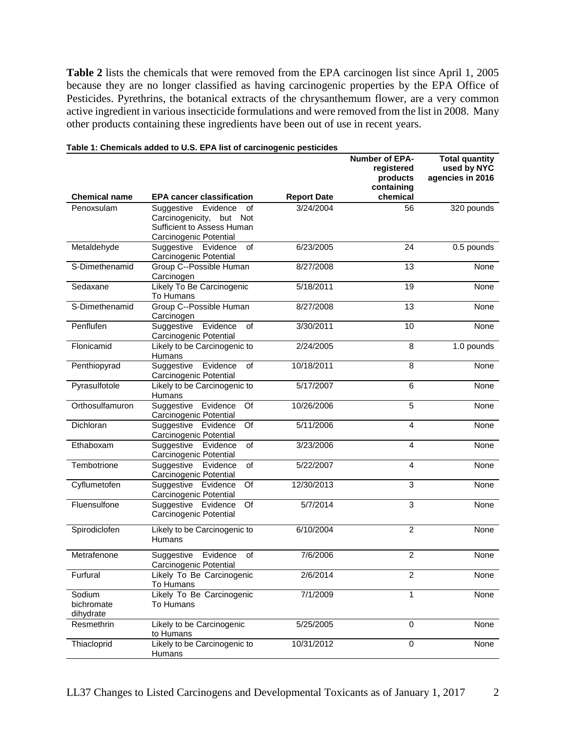**Table 2** lists the chemicals that were removed from the EPA carcinogen list since April 1, 2005 because they are no longer classified as having carcinogenic properties by the EPA Office of Pesticides. Pyrethrins, the botanical extracts of the chrysanthemum flower, are a very common active ingredient in various insecticide formulations and were removed from the list in 2008. Many other products containing these ingredients have been out of use in recent years.

|                                   |                                                                                                                        |                    | <b>Number of EPA-</b><br>registered<br>products<br>containing | <b>Total quantity</b><br>used by NYC<br>agencies in 2016 |
|-----------------------------------|------------------------------------------------------------------------------------------------------------------------|--------------------|---------------------------------------------------------------|----------------------------------------------------------|
| <b>Chemical name</b>              | <b>EPA cancer classification</b>                                                                                       | <b>Report Date</b> | chemical                                                      |                                                          |
| Penoxsulam                        | Suggestive<br>Evidence<br>οf<br>Carcinogenicity,<br>but<br>Not<br>Sufficient to Assess Human<br>Carcinogenic Potential | 3/24/2004          | 56                                                            | 320 pounds                                               |
| Metaldehyde                       | Suggestive Evidence<br>of<br>Carcinogenic Potential                                                                    | 6/23/2005          | 24                                                            | 0.5 pounds                                               |
| S-Dimethenamid                    | Group C--Possible Human<br>Carcinogen                                                                                  | 8/27/2008          | 13                                                            | None                                                     |
| Sedaxane                          | Likely To Be Carcinogenic<br>To Humans                                                                                 | 5/18/2011          | 19                                                            | None                                                     |
| S-Dimethenamid                    | Group C--Possible Human<br>Carcinogen                                                                                  | 8/27/2008          | 13                                                            | None                                                     |
| Penflufen                         | Evidence<br>Suggestive<br>of<br>Carcinogenic Potential                                                                 | 3/30/2011          | 10                                                            | None                                                     |
| Flonicamid                        | Likely to be Carcinogenic to<br>Humans                                                                                 | 2/24/2005          | 8                                                             | 1.0 pounds                                               |
| Penthiopyrad                      | Suggestive<br>Evidence<br>of<br>Carcinogenic Potential                                                                 | 10/18/2011         | 8                                                             | None                                                     |
| Pyrasulfotole                     | Likely to be Carcinogenic to<br>Humans                                                                                 | 5/17/2007          | 6                                                             | None                                                     |
| Orthosulfamuron                   | Of<br>Suggestive Evidence<br>Carcinogenic Potential                                                                    | 10/26/2006         | $\overline{5}$                                                | None                                                     |
| Dichloran                         | Suggestive Evidence<br>Of<br>Carcinogenic Potential                                                                    | 5/11/2006          | 4                                                             | None                                                     |
| Ethaboxam                         | Suggestive Evidence<br>of<br>Carcinogenic Potential                                                                    | 3/23/2006          | 4                                                             | None                                                     |
| Tembotrione                       | Suggestive<br>of<br>Evidence<br>Carcinogenic Potential                                                                 | 5/22/2007          | 4                                                             | None                                                     |
| Cyflumetofen                      | Suggestive Evidence<br>Of<br>Carcinogenic Potential                                                                    | 12/30/2013         | 3                                                             | None                                                     |
| Fluensulfone                      | Of<br>Suggestive Evidence<br>Carcinogenic Potential                                                                    | 5/7/2014           | 3                                                             | None                                                     |
| Spirodiclofen                     | Likely to be Carcinogenic to<br>Humans                                                                                 | 6/10/2004          | $\overline{2}$                                                | None                                                     |
| Metrafenone                       | Suggestive Evidence<br>of<br>Carcinogenic Potential                                                                    | 7/6/2006           | $\overline{2}$                                                | None                                                     |
| Furfural                          | Likely To Be Carcinogenic<br>To Humans                                                                                 | 2/6/2014           | $\overline{c}$                                                | None                                                     |
| Sodium<br>bichromate<br>dihydrate | Likely To Be Carcinogenic<br>To Humans                                                                                 | 7/1/2009           | 1                                                             | None                                                     |
| Resmethrin                        | Likely to be Carcinogenic<br>to Humans                                                                                 | 5/25/2005          | 0                                                             | None                                                     |
| Thiacloprid                       | Likely to be Carcinogenic to<br>Humans                                                                                 | 10/31/2012         | 0                                                             | None                                                     |

#### **Table 1: Chemicals added to U.S. EPA list of carcinogenic pesticides**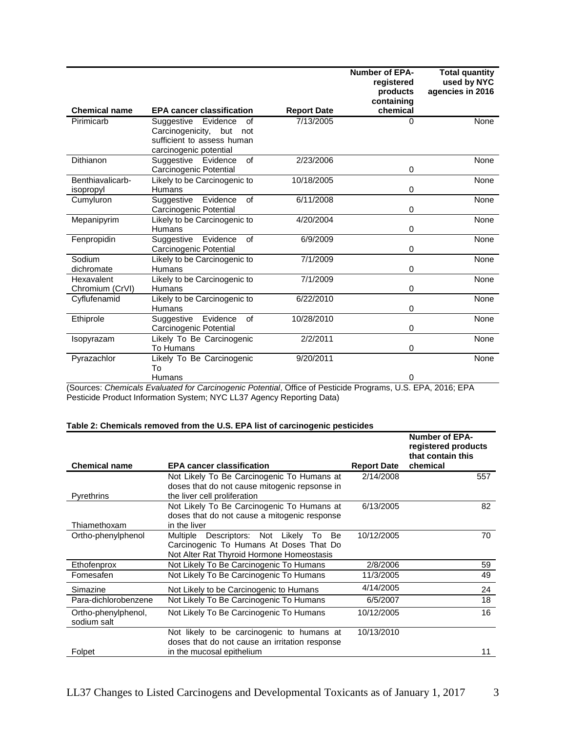|                               |                                                                                                                        |                    | <b>Number of EPA-</b><br>registered<br>products<br>containing | <b>Total quantity</b><br>used by NYC<br>agencies in 2016 |
|-------------------------------|------------------------------------------------------------------------------------------------------------------------|--------------------|---------------------------------------------------------------|----------------------------------------------------------|
| <b>Chemical name</b>          | <b>EPA cancer classification</b>                                                                                       | <b>Report Date</b> | chemical                                                      |                                                          |
| Pirimicarb                    | Suggestive<br>Evidence<br>of<br>Carcinogenicity,<br>but<br>not<br>sufficient to assess human<br>carcinogenic potential | 7/13/2005          | 0                                                             | <b>None</b>                                              |
| Dithianon                     | of<br>Suggestive<br>Evidence<br>Carcinogenic Potential                                                                 | 2/23/2006          | 0                                                             | None                                                     |
| Benthiavalicarb-<br>isopropyl | Likely to be Carcinogenic to<br>Humans                                                                                 | 10/18/2005         | 0                                                             | None                                                     |
| Cumyluron                     | Evidence<br>of<br>Suggestive<br>Carcinogenic Potential                                                                 | 6/11/2008          | 0                                                             | <b>None</b>                                              |
| Mepanipyrim                   | Likely to be Carcinogenic to<br>Humans                                                                                 | 4/20/2004          | 0                                                             | None                                                     |
| Fenpropidin                   | Suggestive<br>Evidence<br>$\alpha$ f<br>Carcinogenic Potential                                                         | 6/9/2009           | 0                                                             | <b>None</b>                                              |
| Sodium<br>dichromate          | Likely to be Carcinogenic to<br><b>Humans</b>                                                                          | 7/1/2009           | 0                                                             | None                                                     |
| Hexavalent<br>Chromium (CrVI) | Likely to be Carcinogenic to<br>Humans                                                                                 | 7/1/2009           | 0                                                             | None                                                     |
| Cyflufenamid                  | Likely to be Carcinogenic to<br>Humans                                                                                 | 6/22/2010          | 0                                                             | None                                                     |
| Ethiprole                     | of<br>Evidence<br>Suggestive<br>Carcinogenic Potential                                                                 | 10/28/2010         | 0                                                             | None                                                     |
| Isopyrazam                    | Likely To Be Carcinogenic<br>To Humans                                                                                 | 2/2/2011           | 0                                                             | None                                                     |
| Pyrazachlor                   | Likely To Be Carcinogenic<br>Т٥                                                                                        | 9/20/2011          |                                                               | <b>None</b>                                              |
|                               | Humans                                                                                                                 |                    | 0                                                             |                                                          |

(Sources: *Chemicals Evaluated for Carcinogenic Potential*, Office of Pesticide Programs, U.S. EPA, 2016; EPA Pesticide Product Information System; NYC LL37 Agency Reporting Data)

### **Table 2: Chemicals removed from the U.S. EPA list of carcinogenic pesticides**

|                                                       |                                                                                                                                                                                                                                                                               | <b>Number of EPA-</b><br>registered products<br>that contain this |
|-------------------------------------------------------|-------------------------------------------------------------------------------------------------------------------------------------------------------------------------------------------------------------------------------------------------------------------------------|-------------------------------------------------------------------|
|                                                       |                                                                                                                                                                                                                                                                               | chemical                                                          |
|                                                       |                                                                                                                                                                                                                                                                               | 557                                                               |
|                                                       |                                                                                                                                                                                                                                                                               |                                                                   |
|                                                       |                                                                                                                                                                                                                                                                               |                                                                   |
|                                                       |                                                                                                                                                                                                                                                                               | 82                                                                |
|                                                       |                                                                                                                                                                                                                                                                               |                                                                   |
|                                                       |                                                                                                                                                                                                                                                                               |                                                                   |
| Multiple<br>Descriptors:<br>Not<br>Be<br>Likely<br>To | 10/12/2005                                                                                                                                                                                                                                                                    | 70                                                                |
| Carcinogenic To Humans At Doses That Do               |                                                                                                                                                                                                                                                                               |                                                                   |
| Not Alter Rat Thyroid Hormone Homeostasis             |                                                                                                                                                                                                                                                                               |                                                                   |
| Not Likely To Be Carcinogenic To Humans               | 2/8/2006                                                                                                                                                                                                                                                                      | 59                                                                |
| Not Likely To Be Carcinogenic To Humans               | 11/3/2005                                                                                                                                                                                                                                                                     | 49                                                                |
| Not Likely to be Carcinogenic to Humans               | 4/14/2005                                                                                                                                                                                                                                                                     | 24                                                                |
| Not Likely To Be Carcinogenic To Humans               | 6/5/2007                                                                                                                                                                                                                                                                      | 18                                                                |
| Not Likely To Be Carcinogenic To Humans               | 10/12/2005                                                                                                                                                                                                                                                                    | 16                                                                |
|                                                       |                                                                                                                                                                                                                                                                               |                                                                   |
| Not likely to be carcinogenic to humans at            | 10/13/2010                                                                                                                                                                                                                                                                    |                                                                   |
| doses that do not cause an irritation response        |                                                                                                                                                                                                                                                                               |                                                                   |
| in the mucosal epithelium                             |                                                                                                                                                                                                                                                                               | 11                                                                |
|                                                       | <b>EPA cancer classification</b><br>Not Likely To Be Carcinogenic To Humans at<br>doses that do not cause mitogenic repsonse in<br>the liver cell proliferation<br>Not Likely To Be Carcinogenic To Humans at<br>doses that do not cause a mitogenic response<br>in the liver | <b>Report Date</b><br>2/14/2008<br>6/13/2005                      |